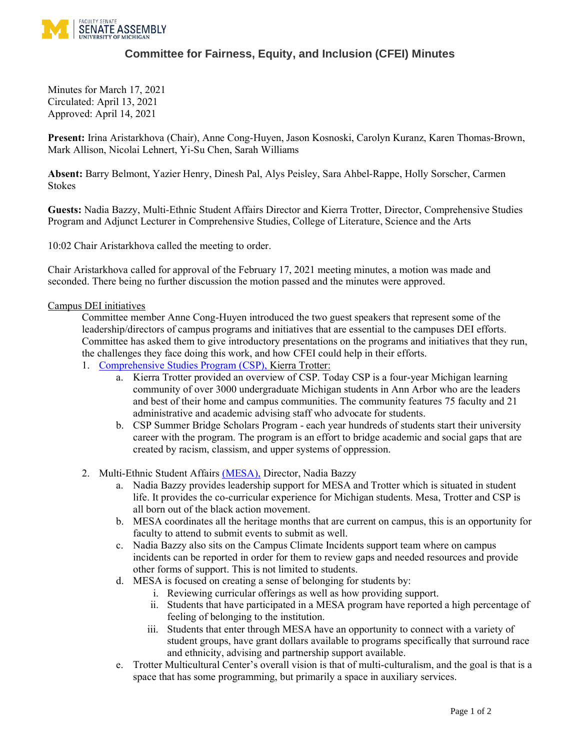

## **Committee for Fairness, Equity, and Inclusion (CFEI) Minutes**

Minutes for March 17, 2021 Circulated: April 13, 2021 Approved: April 14, 2021

**Present:** Irina Aristarkhova (Chair), Anne Cong-Huyen, Jason Kosnoski, Carolyn Kuranz, Karen Thomas-Brown, Mark Allison, Nicolai Lehnert, Yi-Su Chen, Sarah Williams

**Absent:** Barry Belmont, Yazier Henry, Dinesh Pal, Alys Peisley, Sara Ahbel-Rappe, Holly Sorscher, Carmen Stokes

**Guests:** Nadia Bazzy, Multi-Ethnic Student Affairs Director and Kierra Trotter, Director, Comprehensive Studies Program and Adjunct Lecturer in Comprehensive Studies, College of Literature, Science and the Arts

10:02 Chair Aristarkhova called the meeting to order.

Chair Aristarkhova called for approval of the February 17, 2021 meeting minutes, a motion was made and seconded. There being no further discussion the motion passed and the minutes were approved.

## Campus DEI initiatives

Committee member Anne Cong-Huyen introduced the two guest speakers that represent some of the leadership/directors of campus programs and initiatives that are essential to the campuses DEI efforts. Committee has asked them to give introductory presentations on the programs and initiatives that they run, the challenges they face doing this work, and how CFEI could help in their efforts.

- 1. [Comprehensive Studies Program](https://lsa.umich.edu/csp) (CSP), Kierra Trotter:
	- a. Kierra Trotter provided an overview of CSP. Today CSP is a four-year Michigan learning community of over 3000 undergraduate Michigan students in Ann Arbor who are the leaders and best of their home and campus communities. The community features 75 faculty and 21 administrative and academic advising staff who advocate for students.
	- b. CSP Summer Bridge Scholars Program each year hundreds of students start their university career with the program. The program is an effort to bridge academic and social gaps that are created by racism, classism, and upper systems of oppression.
- 2. Multi-Ethnic Student Affairs [\(MESA\),](https://mesa.umich.edu/) Director, Nadia Bazzy
	- a. Nadia Bazzy provides leadership support for MESA and Trotter which is situated in student life. It provides the co-curricular experience for Michigan students. Mesa, Trotter and CSP is all born out of the black action movement.
	- b. MESA coordinates all the heritage months that are current on campus, this is an opportunity for faculty to attend to submit events to submit as well.
	- c. Nadia Bazzy also sits on the Campus Climate Incidents support team where on campus incidents can be reported in order for them to review gaps and needed resources and provide other forms of support. This is not limited to students.
	- d. MESA is focused on creating a sense of belonging for students by:
		- i. Reviewing curricular offerings as well as how providing support.
		- ii. Students that have participated in a MESA program have reported a high percentage of feeling of belonging to the institution.
		- iii. Students that enter through MESA have an opportunity to connect with a variety of student groups, have grant dollars available to programs specifically that surround race and ethnicity, advising and partnership support available.
	- e. Trotter Multicultural Center's overall vision is that of multi-culturalism, and the goal is that is a space that has some programming, but primarily a space in auxiliary services.